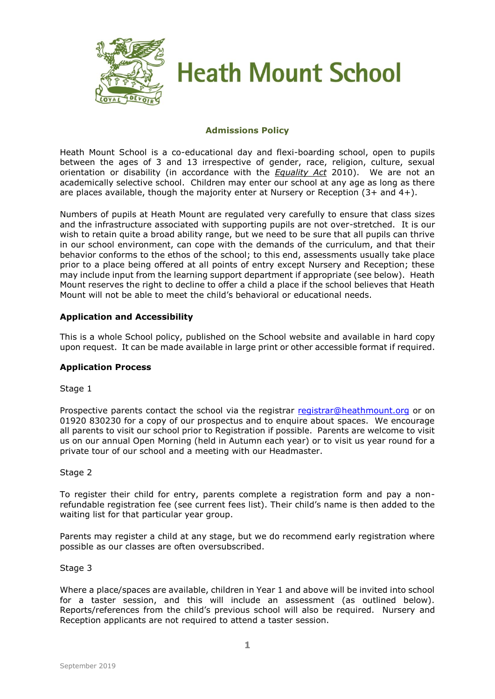

# **Heath Mount School**

# **Admissions Policy**

Heath Mount School is a co-educational day and flexi-boarding school, open to pupils between the ages of 3 and 13 irrespective of gender, race, religion, culture, sexual orientation or disability (in accordance with the *Equality Act* 2010). We are not an academically selective school. Children may enter our school at any age as long as there are places available, though the majority enter at Nursery or Reception (3+ and 4+).

Numbers of pupils at Heath Mount are regulated very carefully to ensure that class sizes and the infrastructure associated with supporting pupils are not over-stretched. It is our wish to retain quite a broad ability range, but we need to be sure that all pupils can thrive in our school environment, can cope with the demands of the curriculum, and that their behavior conforms to the ethos of the school; to this end, assessments usually take place prior to a place being offered at all points of entry except Nursery and Reception; these may include input from the learning support department if appropriate (see below). Heath Mount reserves the right to decline to offer a child a place if the school believes that Heath Mount will not be able to meet the child's behavioral or educational needs.

# **Application and Accessibility**

This is a whole School policy, published on the School website and available in hard copy upon request. It can be made available in large print or other accessible format if required.

#### **Application Process**

#### Stage 1

Prospective parents contact the school via the registrar [registrar@heathmount.org](mailto:registrar@heathmount.org) or on 01920 830230 for a copy of our prospectus and to enquire about spaces. We encourage all parents to visit our school prior to Registration if possible. Parents are welcome to visit us on our annual Open Morning (held in Autumn each year) or to visit us year round for a private tour of our school and a meeting with our Headmaster.

#### Stage 2

To register their child for entry, parents complete a registration form and pay a nonrefundable registration fee (see current fees list). Their child's name is then added to the waiting list for that particular year group.

Parents may register a child at any stage, but we do recommend early registration where possible as our classes are often oversubscribed.

#### Stage 3

Where a place/spaces are available, children in Year 1 and above will be invited into school for a taster session, and this will include an assessment (as outlined below). Reports/references from the child's previous school will also be required. Nursery and Reception applicants are not required to attend a taster session.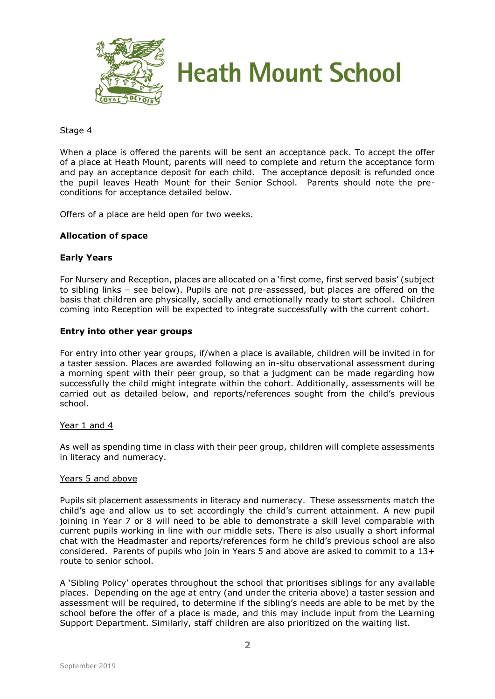

#### Stage 4

When a place is offered the parents will be sent an acceptance pack. To accept the offer of a place at Heath Mount, parents will need to complete and return the acceptance form and pay an acceptance deposit for each child. The acceptance deposit is refunded once the pupil leaves Heath Mount for their Senior School. Parents should note the preconditions for acceptance detailed below.

Offers of a place are held open for two weeks.

# **Allocation of space**

# **Early Years**

For Nursery and Reception, places are allocated on a 'first come, first served basis' (subject to sibling links – see below). Pupils are not pre-assessed, but places are offered on the basis that children are physically, socially and emotionally ready to start school. Children coming into Reception will be expected to integrate successfully with the current cohort.

#### **Entry into other year groups**

For entry into other year groups, if/when a place is available, children will be invited in for a taster session. Places are awarded following an in-situ observational assessment during a morning spent with their peer group, so that a judgment can be made regarding how successfully the child might integrate within the cohort. Additionally, assessments will be carried out as detailed below, and reports/references sought from the child's previous school.

#### Year 1 and 4

As well as spending time in class with their peer group, children will complete assessments in literacy and numeracy.

#### Years 5 and above

Pupils sit placement assessments in literacy and numeracy. These assessments match the child's age and allow us to set accordingly the child's current attainment. A new pupil joining in Year 7 or 8 will need to be able to demonstrate a skill level comparable with current pupils working in line with our middle sets. There is also usually a short informal chat with the Headmaster and reports/references form he child's previous school are also considered. Parents of pupils who join in Years 5 and above are asked to commit to a 13+ route to senior school.

A 'Sibling Policy' operates throughout the school that prioritises siblings for any available places. Depending on the age at entry (and under the criteria above) a taster session and assessment will be required, to determine if the sibling's needs are able to be met by the school before the offer of a place is made, and this may include input from the Learning Support Department. Similarly, staff children are also prioritized on the waiting list.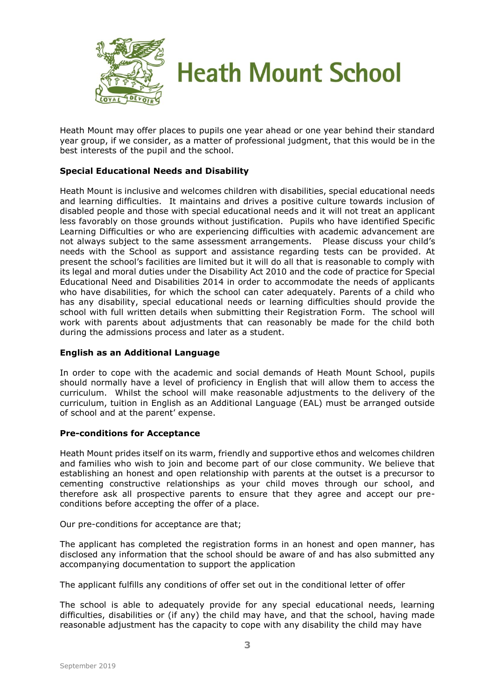

Heath Mount may offer places to pupils one year ahead or one year behind their standard year group, if we consider, as a matter of professional judgment, that this would be in the best interests of the pupil and the school.

# **Special Educational Needs and Disability**

Heath Mount is inclusive and welcomes children with disabilities, special educational needs and learning difficulties. It maintains and drives a positive culture towards inclusion of disabled people and those with special educational needs and it will not treat an applicant less favorably on those grounds without justification. Pupils who have identified Specific Learning Difficulties or who are experiencing difficulties with academic advancement are not always subject to the same assessment arrangements. Please discuss your child's needs with the School as support and assistance regarding tests can be provided. At present the school's facilities are limited but it will do all that is reasonable to comply with its legal and moral duties under the Disability Act 2010 and the code of practice for Special Educational Need and Disabilities 2014 in order to accommodate the needs of applicants who have disabilities, for which the school can cater adequately. Parents of a child who has any disability, special educational needs or learning difficulties should provide the school with full written details when submitting their Registration Form. The school will work with parents about adjustments that can reasonably be made for the child both during the admissions process and later as a student.

# **English as an Additional Language**

In order to cope with the academic and social demands of Heath Mount School, pupils should normally have a level of proficiency in English that will allow them to access the curriculum. Whilst the school will make reasonable adjustments to the delivery of the curriculum, tuition in English as an Additional Language (EAL) must be arranged outside of school and at the parent' expense.

# **Pre-conditions for Acceptance**

Heath Mount prides itself on its warm, friendly and supportive ethos and welcomes children and families who wish to join and become part of our close community. We believe that establishing an honest and open relationship with parents at the outset is a precursor to cementing constructive relationships as your child moves through our school, and therefore ask all prospective parents to ensure that they agree and accept our preconditions before accepting the offer of a place.

Our pre-conditions for acceptance are that;

The applicant has completed the registration forms in an honest and open manner, has disclosed any information that the school should be aware of and has also submitted any accompanying documentation to support the application

The applicant fulfills any conditions of offer set out in the conditional letter of offer

The school is able to adequately provide for any special educational needs, learning difficulties, disabilities or (if any) the child may have, and that the school, having made reasonable adjustment has the capacity to cope with any disability the child may have